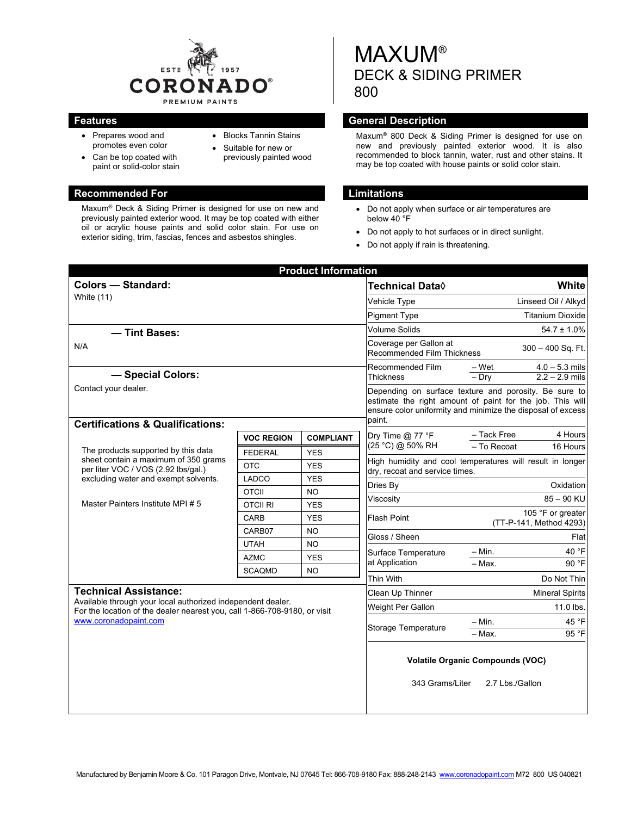

 Blocks Tannin Stains Suitable for new or previously painted wood

- Prepares wood and promotes even color
- Can be top coated with paint or solid-color stain

#### **Recommended For Limitations Limitations**

Maxum® Deck & Siding Primer is designed for use on new and previously painted exterior wood. It may be top coated with either oil or acrylic house paints and solid color stain. For use on exterior siding, trim, fascias, fences and asbestos shingles.

MAXUM® DECK & SIDING PRIMER 800

## **Features General Description Contract Description**

Maxum® 800 Deck & Siding Primer is designed for use on new and previously painted exterior wood. It is also recommended to block tannin, water, rust and other stains. It may be top coated with house paints or solid color stain.

- Do not apply when surface or air temperatures are below 40 °F
- Do not apply to hot surfaces or in direct sunlight.
- Do not apply if rain is threatening.

| <b>Product Information</b>                                                                                                                                                                        |                       |                  |                                                                                                                                                                                             |                                                                           |  |
|---------------------------------------------------------------------------------------------------------------------------------------------------------------------------------------------------|-----------------------|------------------|---------------------------------------------------------------------------------------------------------------------------------------------------------------------------------------------|---------------------------------------------------------------------------|--|
| <b>Colors - Standard:</b><br>White (11)                                                                                                                                                           |                       |                  | <b>Technical Data</b> ♦                                                                                                                                                                     | White                                                                     |  |
|                                                                                                                                                                                                   |                       |                  | Vehicle Type                                                                                                                                                                                | Linseed Oil / Alkyd                                                       |  |
|                                                                                                                                                                                                   |                       |                  | <b>Pigment Type</b>                                                                                                                                                                         | <b>Titanium Dioxide</b>                                                   |  |
| - Tint Bases:                                                                                                                                                                                     |                       |                  | <b>Volume Solids</b>                                                                                                                                                                        | $54.7 \pm 1.0\%$                                                          |  |
| N/A                                                                                                                                                                                               |                       |                  | Coverage per Gallon at<br><b>Recommended Film Thickness</b>                                                                                                                                 | $300 - 400$ Sq. Ft.                                                       |  |
| - Special Colors:                                                                                                                                                                                 |                       |                  | Recommended Film<br><b>Thickness</b>                                                                                                                                                        | $\frac{-\text{Wet}}{-\text{Dry}}$<br>$4.0 - 5.3$ mils<br>$2.2 - 2.9$ mils |  |
| Contact your dealer.                                                                                                                                                                              |                       |                  | Depending on surface texture and porosity. Be sure to<br>estimate the right amount of paint for the job. This will<br>ensure color uniformity and minimize the disposal of excess<br>paint. |                                                                           |  |
| <b>Certifications &amp; Qualifications:</b>                                                                                                                                                       |                       |                  |                                                                                                                                                                                             |                                                                           |  |
| The products supported by this data<br>sheet contain a maximum of 350 grams<br>per liter VOC / VOS (2.92 lbs/gal.)<br>excluding water and exempt solvents.<br>Master Painters Institute MPI # 5   | <b>VOC REGION</b>     | <b>COMPLIANT</b> | Dry Time $@$ 77 °F<br>(25 °C) @ 50% RH                                                                                                                                                      | - Tack Free<br>4 Hours<br>- To Recoat<br>16 Hours                         |  |
|                                                                                                                                                                                                   | <b>FEDERAL</b>        | <b>YES</b>       |                                                                                                                                                                                             |                                                                           |  |
|                                                                                                                                                                                                   | <b>OTC</b>            | <b>YES</b>       | High humidity and cool temperatures will result in longer<br>dry, recoat and service times.                                                                                                 |                                                                           |  |
|                                                                                                                                                                                                   | <b>LADCO</b>          | <b>YES</b>       | Dries By                                                                                                                                                                                    | Oxidation                                                                 |  |
|                                                                                                                                                                                                   | <b>OTCII</b>          | <b>NO</b>        | Viscosity                                                                                                                                                                                   | $85 - 90$ KU                                                              |  |
|                                                                                                                                                                                                   | <b>OTCII RI</b>       | <b>YES</b>       | 105 °F or greater<br>Flash Point                                                                                                                                                            |                                                                           |  |
|                                                                                                                                                                                                   | <b>CARB</b>           | <b>YES</b>       |                                                                                                                                                                                             | (TT-P-141, Method 4293)                                                   |  |
|                                                                                                                                                                                                   | CARB07<br><b>UTAH</b> | <b>NO</b>        | Gloss / Sheen                                                                                                                                                                               | Flat                                                                      |  |
|                                                                                                                                                                                                   | <b>AZMC</b>           | NO<br><b>YES</b> | Surface Temperature<br>at Application                                                                                                                                                       | 40 °F<br>$-$ Min.                                                         |  |
|                                                                                                                                                                                                   | <b>SCAQMD</b>         | <b>NO</b>        |                                                                                                                                                                                             | 90 °F<br>- Max.                                                           |  |
|                                                                                                                                                                                                   |                       |                  | Thin With                                                                                                                                                                                   | Do Not Thin                                                               |  |
| <b>Technical Assistance:</b><br>Available through your local authorized independent dealer.<br>For the location of the dealer nearest you, call 1-866-708-9180, or visit<br>www.coronadopaint.com |                       |                  | Clean Up Thinner                                                                                                                                                                            | <b>Mineral Spirits</b>                                                    |  |
|                                                                                                                                                                                                   |                       |                  | Weight Per Gallon                                                                                                                                                                           | 11.0 lbs.                                                                 |  |
|                                                                                                                                                                                                   |                       |                  | <b>Storage Temperature</b>                                                                                                                                                                  | 45 °F<br>– Min.<br>95 °F<br>– Max.                                        |  |
|                                                                                                                                                                                                   |                       |                  | 343 Grams/Liter                                                                                                                                                                             | <b>Volatile Organic Compounds (VOC)</b><br>2.7 Lbs./Gallon                |  |